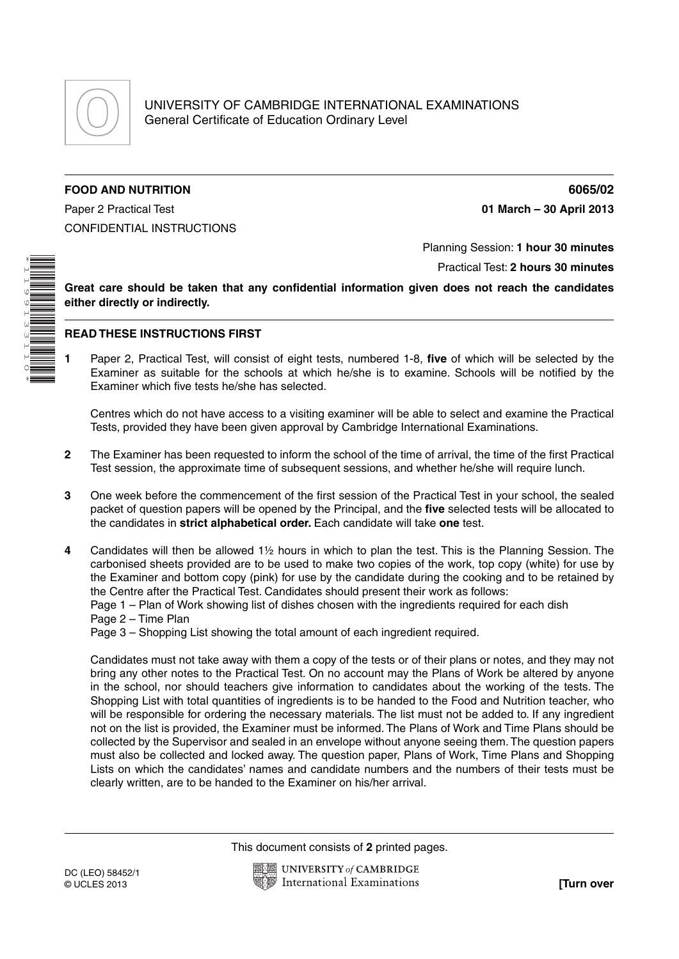

## **FOOD AND NUTRITION 6065/02**

Paper 2 Practical Test **01 March – 30 April 2013** CONFIDENTIAL INSTRUCTIONS

\*1199133110\*  Planning Session: **1 hour 30 minutes**

Practical Test: **2 hours 30 minutes**

**Great care should be taken that any confidential information given does not reach the candidates either directly or indirectly.**

## **READ THESE INSTRUCTIONS FIRST**

**1** Paper 2, Practical Test, will consist of eight tests, numbered 1-8, **five** of which will be selected by the Examiner as suitable for the schools at which he/she is to examine. Schools will be notified by the Examiner which five tests he/she has selected.

Centres which do not have access to a visiting examiner will be able to select and examine the Practical Tests, provided they have been given approval by Cambridge International Examinations.

- **2** The Examiner has been requested to inform the school of the time of arrival, the time of the first Practical Test session, the approximate time of subsequent sessions, and whether he/she will require lunch.
- **3** One week before the commencement of the first session of the Practical Test in your school, the sealed packet of question papers will be opened by the Principal, and the **five** selected tests will be allocated to the candidates in **strict alphabetical order.** Each candidate will take **one** test.
- **4** Candidates will then be allowed 1½ hours in which to plan the test. This is the Planning Session. The carbonised sheets provided are to be used to make two copies of the work, top copy (white) for use by the Examiner and bottom copy (pink) for use by the candidate during the cooking and to be retained by the Centre after the Practical Test. Candidates should present their work as follows:
	- Page 1 Plan of Work showing list of dishes chosen with the ingredients required for each dish
	- Page 2 Time Plan

Page 3 – Shopping List showing the total amount of each ingredient required.

Candidates must not take away with them a copy of the tests or of their plans or notes, and they may not bring any other notes to the Practical Test. On no account may the Plans of Work be altered by anyone in the school, nor should teachers give information to candidates about the working of the tests. The Shopping List with total quantities of ingredients is to be handed to the Food and Nutrition teacher, who will be responsible for ordering the necessary materials. The list must not be added to. If any ingredient not on the list is provided, the Examiner must be informed. The Plans of Work and Time Plans should be collected by the Supervisor and sealed in an envelope without anyone seeing them. The question papers must also be collected and locked away. The question paper, Plans of Work, Time Plans and Shopping Lists on which the candidates' names and candidate numbers and the numbers of their tests must be clearly written, are to be handed to the Examiner on his/her arrival.

This document consists of **2** printed pages.